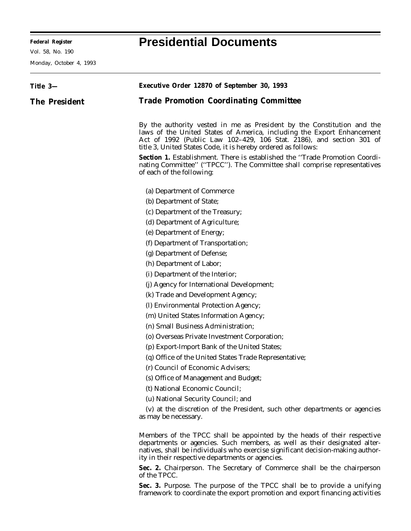**Federal Register Presidential Documents**

Ξ

Monday, October 4, 1993

|               | Executive Order 12870 of September 30, 1993                                                                                                                                                                                                                                                |
|---------------|--------------------------------------------------------------------------------------------------------------------------------------------------------------------------------------------------------------------------------------------------------------------------------------------|
| Title 3—      |                                                                                                                                                                                                                                                                                            |
| The President | <b>Trade Promotion Coordinating Committee</b>                                                                                                                                                                                                                                              |
|               |                                                                                                                                                                                                                                                                                            |
|               | By the authority vested in me as President by the Constitution and the<br>laws of the United States of America, including the Export Enhancement<br>Act of 1992 (Public Law 102-429, 106 Stat. 2186), and section 301 of<br>title 3, United States Code, it is hereby ordered as follows:  |
|               | Section 1. Establishment. There is established the "Trade Promotion Coordi-<br>nating Committee" ("TPCC"). The Committee shall comprise representatives<br>of each of the following:                                                                                                       |
|               | (a) Department of Commerce                                                                                                                                                                                                                                                                 |
|               | (b) Department of State;                                                                                                                                                                                                                                                                   |
|               | (c) Department of the Treasury;                                                                                                                                                                                                                                                            |
|               | (d) Department of Agriculture;                                                                                                                                                                                                                                                             |
|               | (e) Department of Energy;                                                                                                                                                                                                                                                                  |
|               | (f) Department of Transportation;                                                                                                                                                                                                                                                          |
|               | (g) Department of Defense;                                                                                                                                                                                                                                                                 |
|               | (h) Department of Labor;                                                                                                                                                                                                                                                                   |
|               | (i) Department of the Interior;                                                                                                                                                                                                                                                            |
|               | (j) Agency for International Development;                                                                                                                                                                                                                                                  |
|               | (k) Trade and Development Agency;                                                                                                                                                                                                                                                          |
|               | (l) Environmental Protection Agency;                                                                                                                                                                                                                                                       |
|               | (m) United States Information Agency;                                                                                                                                                                                                                                                      |
|               | (n) Small Business Administration;                                                                                                                                                                                                                                                         |
|               | (o) Overseas Private Investment Corporation;                                                                                                                                                                                                                                               |
|               | (p) Export-Import Bank of the United States;                                                                                                                                                                                                                                               |
|               | (q) Office of the United States Trade Representative;                                                                                                                                                                                                                                      |
|               | (r) Council of Economic Advisers;                                                                                                                                                                                                                                                          |
|               | (s) Office of Management and Budget;                                                                                                                                                                                                                                                       |
|               | (t) National Economic Council;                                                                                                                                                                                                                                                             |
|               | (u) National Security Council; and                                                                                                                                                                                                                                                         |
|               | (v) at the discretion of the President, such other departments or agencies<br>as may be necessary.                                                                                                                                                                                         |
|               | Members of the TPCC shall be appointed by the heads of their respective<br>departments or agencies. Such members, as well as their designated alter-<br>natives, shall be individuals who exercise significant decision-making author-<br>ity in their respective departments or agencies. |
|               | Sec. 2. Chairperson. The Secretary of Commerce shall be the chairperson<br>of the TPCC.                                                                                                                                                                                                    |
|               | Sec. 3. Purpose. The purpose of the TPCC shall be to provide a unifying<br>framework to coordinate the export promotion and export financing activities                                                                                                                                    |

٠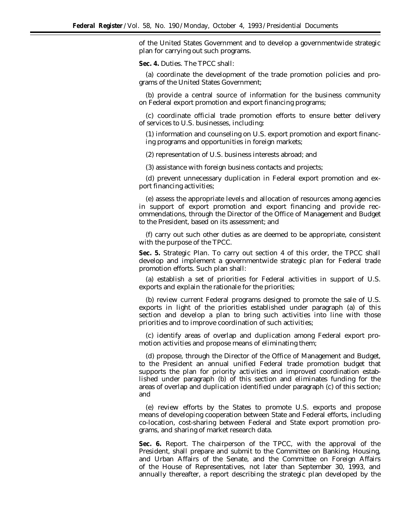of the United States Government and to develop a governmentwide strategic plan for carrying out such programs.

**Sec. 4.** *Duties.* The TPCC shall:

(a) coordinate the development of the trade promotion policies and programs of the United States Government;

(b) provide a central source of information for the business community on Federal export promotion and export financing programs;

(c) coordinate official trade promotion efforts to ensure better delivery of services to U.S. businesses, including:

(1) information and counseling on U.S. export promotion and export financing programs and opportunities in foreign markets;

(2) representation of U.S. business interests abroad; and

(3) assistance with foreign business contacts and projects;

(d) prevent unnecessary duplication in Federal export promotion and export financing activities;

(e) assess the appropriate levels and allocation of resources among agencies in support of export promotion and export financing and provide recommendations, through the Director of the Office of Management and Budget to the President, based on its assessment; and

(f) carry out such other duties as are deemed to be appropriate, consistent with the purpose of the TPCC.

**Sec. 5.** *Strategic Plan.* To carry out section 4 of this order, the TPCC shall develop and implement a governmentwide strategic plan for Federal trade promotion efforts. Such plan shall:

(a) establish a set of priorities for Federal activities in support of U.S. exports and explain the rationale for the priorities;

(b) review current Federal programs designed to promote the sale of U.S. exports in light of the priorities established under paragraph (a) of this section and develop a plan to bring such activities into line with those priorities and to improve coordination of such activities;

(c) identify areas of overlap and duplication among Federal export promotion activities and propose means of eliminating them;

(d) propose, through the Director of the Office of Management and Budget, to the President an annual unified Federal trade promotion budget that supports the plan for priority activities and improved coordination established under paragraph (b) of this section and eliminates funding for the areas of overlap and duplication identified under paragraph (c) of this section; and

(e) review efforts by the States to promote U.S. exports and propose means of developing cooperation between State and Federal efforts, including co-location, cost-sharing between Federal and State export promotion programs, and sharing of market research data.

**Sec. 6.** *Report.* The chairperson of the TPCC, with the approval of the President, shall prepare and submit to the Committee on Banking, Housing, and Urban Affairs of the Senate, and the Committee on Foreign Affairs of the House of Representatives, not later than September 30, 1993, and annually thereafter, a report describing the strategic plan developed by the